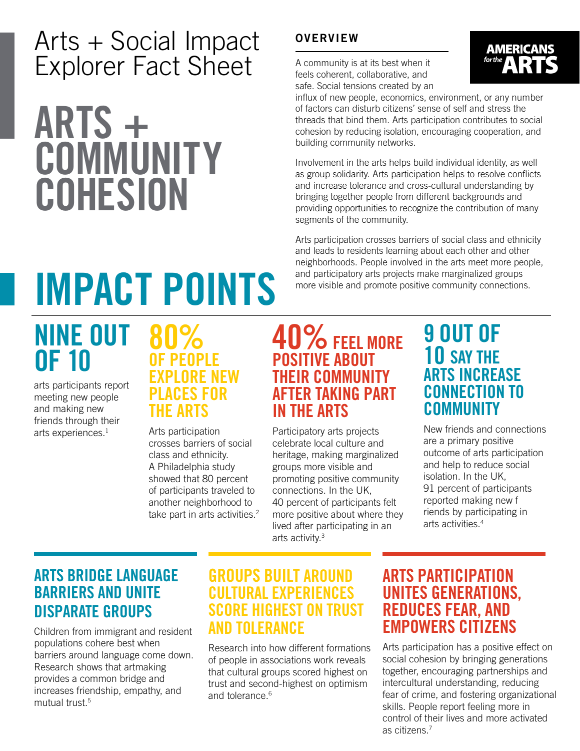## Arts + Social Impact Explorer Fact Sheet

# ARTS + **COMMUNITY COHESION**

#### **OVERVIEW**

A community is at its best when it feels coherent, collaborative, and safe. Social tensions created by an



influx of new people, economics, environment, or any number of factors can disturb citizens' sense of self and stress the threads that bind them. Arts participation contributes to social cohesion by reducing isolation, encouraging cooperation, and building community networks.

Involvement in the arts helps build individual identity, as well as group solidarity. Arts participation helps to resolve conflicts and increase tolerance and cross-cultural understanding by bringing together people from different backgrounds and providing opportunities to recognize the contribution of many segments of the community.

Arts participation crosses barriers of social class and ethnicity and leads to residents learning about each other and other neighborhoods. People involved in the arts meet more people, and participatory arts projects make marginalized groups

# **INPACT POINTS** and participatory arts projects make marginalized groups<br>more visible and promote positive community connections.

# NINE OUT OF 10

arts participants report meeting new people and making new friends through their arts experiences.<sup>1</sup>

#### 80% OF PEOPLE EXPLORE NEW ACES FOR THE ARTS

Arts participation crosses barriers of social class and ethnicity. A Philadelphia study showed that 80 percent of participants traveled to another neighborhood to take part in arts activities.<sup>2</sup>

### 40% FEEL MORE POSITIVE ABOUT THEIR COMMUNITY AFTER TAKING PART IN THE ARTS

Participatory arts projects celebrate local culture and heritage, making marginalized groups more visible and promoting positive community connections. In the UK, 40 percent of participants felt more positive about where they lived after participating in an arts activity.3

#### 9 OUT OF 10 SAY THE ARTS INCREASE CONNECTION TO **COMMUNITY**

New friends and connections are a primary positive outcome of arts participation and help to reduce social isolation. In the UK, 91 percent of participants reported making new f riends by participating in arts activities.4

#### ARTS BRIDGE LANGUAGE BARRIERS AND UNITE DISPARATE GROUPS

Children from immigrant and resident populations cohere best when barriers around language come down. Research shows that artmaking provides a common bridge and increases friendship, empathy, and mutual trust.5

#### GROUPS BUILT AROUND CULTURAL EXPERIENCES SCORE HIGHEST ON TRUST AND TOLERANCE

Research into how different formations of people in associations work reveals that cultural groups scored highest on trust and second-highest on optimism and tolerance.<sup>6</sup>

#### ARTS PARTICIPATION UNITES GENERATIONS, REDUCES FEAR, AND EMPOWERS CITIZENS

Arts participation has a positive effect on social cohesion by bringing generations together, encouraging partnerships and intercultural understanding, reducing fear of crime, and fostering organizational skills. People report feeling more in control of their lives and more activated as citizens.7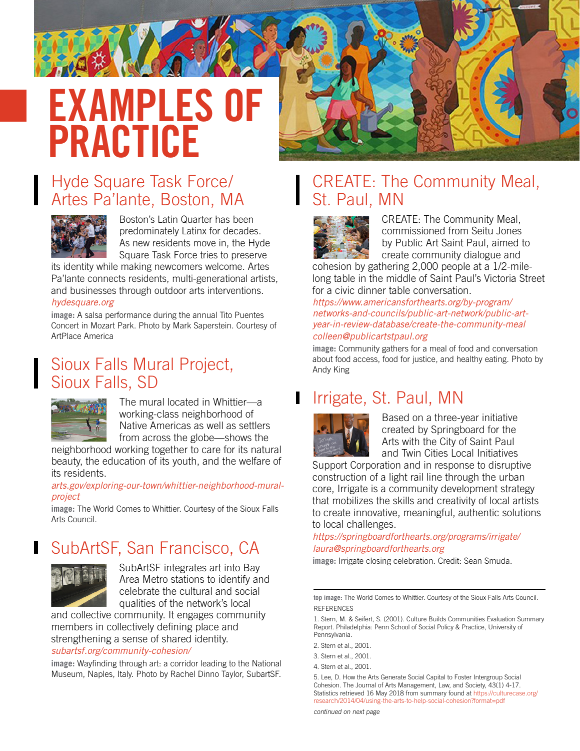# EXAMPLES OF PRACTICE

#### Hyde Square Task Force/ Artes Pa'lante, Boston, MA



Boston's Latin Quarter has been predominately Latinx for decades. As new residents move in, the Hyde Square Task Force tries to preserve

its identity while making newcomers welcome. Artes Pa'lante connects residents, multi-generational artists, and businesses through outdoor arts interventions.

#### *[hydesquare.org](http://hydesquare.org)*

**image:** A salsa performance during the annual Tito Puentes Concert in Mozart Park. Photo by Mark Saperstein. Courtesy of ArtPlace America

#### Sioux Falls Mural Project, Sioux Falls, SD



The mural located in Whittier—a working-class neighborhood of Native Americas as well as settlers from across the globe—shows the

neighborhood working together to care for its natural beauty, the education of its youth, and the welfare of its residents.

#### *[arts.gov/exploring-our-town/whittier-neighborhood-mural](http://arts.gov/exploring-our-town/whittier-neighborhood-mural-project)[project](http://arts.gov/exploring-our-town/whittier-neighborhood-mural-project)*

**image:** The World Comes to Whittier. Courtesy of the Sioux Falls Arts Council.

### SubArtSF, San Francisco, CA



Π

SubArtSF integrates art into Bay Area Metro stations to identify and celebrate the cultural and social qualities of the network's local

and collective community. It engages community members in collectively defining place and strengthening a sense of shared identity. *[subartsf.org/community-cohesion/](http://subartsf.org/community-cohesion/)*

**image:** Wayfinding through art: a corridor leading to the National Museum, Naples, Italy. Photo by Rachel Dinno Taylor, SubartSF.

#### CREATE: The Community Meal, St. Paul, MN



CREATE: The Community Meal, commissioned from Seitu Jones by Public Art Saint Paul, aimed to create community dialogue and

cohesion by gathering 2,000 people at a 1/2-milelong table in the middle of Saint Paul's Victoria Street for a civic dinner table conversation.

*[https://www.americansforthearts.org/by-program/](https://www.americansforthearts.org/by-program/networks-and-councils/public-art-network/public-art-year-in-review-database/create-the-community-meal) [networks-and-councils/public-art-network/public-art](https://www.americansforthearts.org/by-program/networks-and-councils/public-art-network/public-art-year-in-review-database/create-the-community-meal)[year-in-review-database/create-the-community-meal](https://www.americansforthearts.org/by-program/networks-and-councils/public-art-network/public-art-year-in-review-database/create-the-community-meal) colleen@publicartstpaul.org*

**image:** Community gathers for a meal of food and conversation about food access, food for justice, and healthy eating. Photo by Andy King

#### Irrigate, St. Paul, MN П



Based on a three-year initiative created by Springboard for the Arts with the City of Saint Paul and Twin Cities Local Initiatives

Support Corporation and in response to disruptive construction of a light rail line through the urban core, Irrigate is a community development strategy that mobilizes the skills and creativity of local artists to create innovative, meaningful, authentic solutions to local challenges.

*<https://springboardforthearts.org/programs/irrigate/> laura@springboardforthearts.org*

**image:** Irrigate closing celebration. Credit: Sean Smuda.

5. Lee, D. How the Arts Generate Social Capital to Foster Intergroup Social Cohesion. The Journal of Arts Management, Law, and Society, 43(1) 4-17. Statistics retrieved 16 May 2018 from summary found at [https://culturecase.org/](https://culturecase.org/research/2014/04/using-the-arts-to-help-social-cohesion?format=pdf) [research/2014/04/using-the-arts-to-help-social-cohesion?format=pdf](https://culturecase.org/research/2014/04/using-the-arts-to-help-social-cohesion?format=pdf)

**top image:** The World Comes to Whittier. Courtesy of the Sioux Falls Arts Council. **REFERENCES** 

<sup>1.</sup> Stern, M. & Seifert, S. (2001). Culture Builds Communities Evaluation Summary Report. Philadelphia: Penn School of Social Policy & Practice, University of Pennsylvania.

<sup>2.</sup> Stern et al., 2001.

<sup>3.</sup> Stern et al., 2001.

<sup>4.</sup> Stern et al., 2001.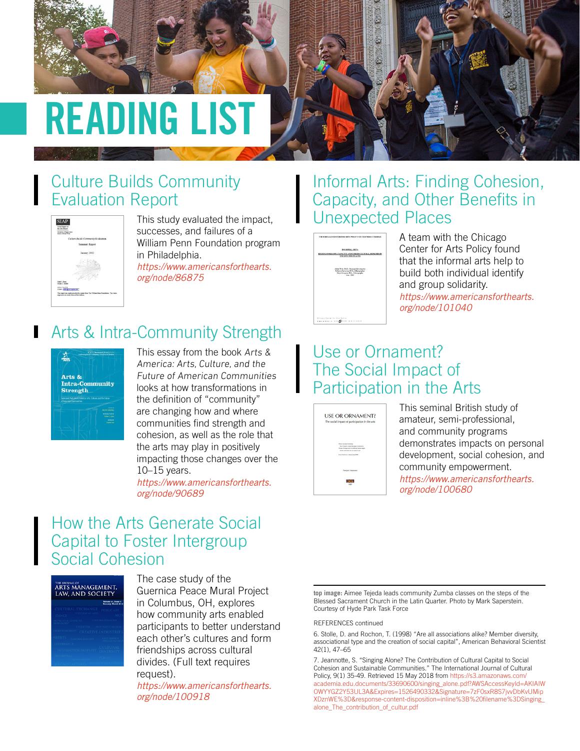

# READING LIST

### Culture Builds Community Evaluation Report



This study evaluated the impact, successes, and failures of a William Penn Foundation program in Philadelphia.

*[https://www.americansforthearts.](https://www.americansforthearts.org/node/86875) [org/node/86875](https://www.americansforthearts.org/node/86875)*

### **Arts & Intra-Community Strength**



This essay from the book Arts & America: Arts, Culture, and the Future of American Communities looks at how transformations in the definition of "community" are changing how and where communities find strength and cohesion, as well as the role that the arts may play in positively impacting those changes over the 10–15 years.

*[https://www.americansforthearts.](https://www.americansforthearts.org/node/90689) [org/node/90689](https://www.americansforthearts.org/node/90689)*

#### How the Arts Generate Social Capital to Foster Intergroup Social Cohesion

| THE JOURNAL OF<br><b>ARTS MANAGEMENT,</b><br><b>LAW, AND SOCIETY</b> |                     |
|----------------------------------------------------------------------|---------------------|
|                                                                      |                     |
| CULTURAL EXCHANGI                                                    |                     |
|                                                                      |                     |
|                                                                      |                     |
| THEATER                                                              |                     |
|                                                                      | CREATIVE INDUSTR    |
| <b>RTISTS</b>                                                        | <b>ARTS SERVICE</b> |
| <b>EADERSHIP</b>                                                     |                     |
|                                                                      |                     |
|                                                                      |                     |

The case study of the Guernica Peace Mural Project in Columbus, OH, explores how community arts enabled participants to better understand each other's cultures and form friendships across cultural divides. (Full text requires request).

*[https://www.americansforthearts.](https://www.americansforthearts.org/node/100918) [org/node/100918](https://www.americansforthearts.org/node/100918)*

#### Informal Arts: Finding Cohesion, Capacity, and Other Benefits in Unexpected Places



A team with the Chicago Center for Arts Policy found that the informal arts help to build both individual identify and group solidarity. *[https://www.americansforthearts.](https://www.americansforthearts.org/node/101040) [org/node/101040](https://www.americansforthearts.org/node/101040)*

#### Use or Ornament? The Social Impact of Participation in the Arts



This seminal British study of amateur, semi-professional, and community programs demonstrates impacts on personal development, social cohesion, and community empowerment. *[https://www.americansforthearts.](https://www.americansforthearts.org/node/100680) [org/node/100680](https://www.americansforthearts.org/node/100680)*

**top image:** Aimee Tejeda leads community Zumba classes on the steps of the Blessed Sacrament Church in the Latin Quarter. Photo by Mark Saperstein. Courtesy of Hyde Park Task Force

#### REFERENCES continued

6. Stolle, D. and Rochon, T. (1998) "Are all associations alike? Member diversity, associational type and the creation of social capital", American Behavioral Scientist 42(1), 47–65

7. Jeannotte, S. "Singing Alone? The Contribution of Cultural Capital to Social Cohesion and Sustainable Communities." The International Journal of Cultural Policy, 9(1) 35-49. Retrieved 15 May 2018 from [https://s3.amazonaws.com/](https://s3.amazonaws.com/academia.edu.documents/33690600/singing_alone.pdf?AWSAccessKeyId=AKIAIWOWYYGZ2Y53UL3A&Expires=1526490332&Signature=7zF0sxR8S7jvvDbKvUMipXDznWE%3D&response-content-disposition=inline%3B%20filename%3DSinging_alone_The_contribution_o) [academia.edu.documents/33690600/singing\\_alone.pdf?AWSAccessKeyId=AKIAIW](https://s3.amazonaws.com/academia.edu.documents/33690600/singing_alone.pdf?AWSAccessKeyId=AKIAIWOWYYGZ2Y53UL3A&Expires=1526490332&Signature=7zF0sxR8S7jvvDbKvUMipXDznWE%3D&response-content-disposition=inline%3B%20filename%3DSinging_alone_The_contribution_o) [OWYYGZ2Y53UL3A&Expires=1526490332&Signature=7zF0sxR8S7jvvDbKvUMip](https://s3.amazonaws.com/academia.edu.documents/33690600/singing_alone.pdf?AWSAccessKeyId=AKIAIWOWYYGZ2Y53UL3A&Expires=1526490332&Signature=7zF0sxR8S7jvvDbKvUMipXDznWE%3D&response-content-disposition=inline%3B%20filename%3DSinging_alone_The_contribution_o) [XDznWE%3D&response-content-disposition=inline%3B%20filename%3DSinging\\_](https://s3.amazonaws.com/academia.edu.documents/33690600/singing_alone.pdf?AWSAccessKeyId=AKIAIWOWYYGZ2Y53UL3A&Expires=1526490332&Signature=7zF0sxR8S7jvvDbKvUMipXDznWE%3D&response-content-disposition=inline%3B%20filename%3DSinging_alone_The_contribution_o) [alone\\_The\\_contribution\\_of\\_cultur.pdf](https://s3.amazonaws.com/academia.edu.documents/33690600/singing_alone.pdf?AWSAccessKeyId=AKIAIWOWYYGZ2Y53UL3A&Expires=1526490332&Signature=7zF0sxR8S7jvvDbKvUMipXDznWE%3D&response-content-disposition=inline%3B%20filename%3DSinging_alone_The_contribution_o)